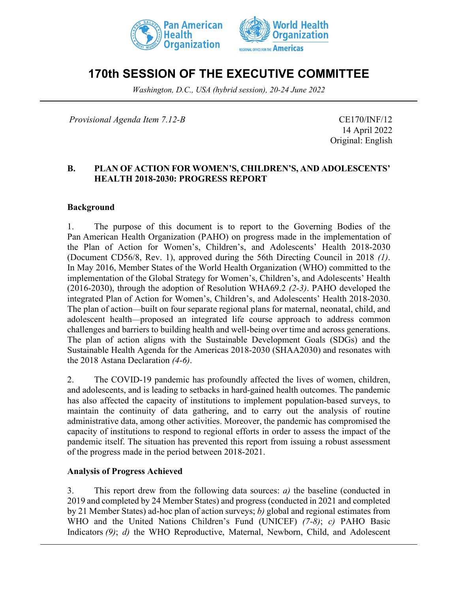



# **170th SESSION OF THE EXECUTIVE COMMITTEE**

*Washington, D.C., USA (hybrid session), 20-24 June 2022*

*Provisional Agenda Item 7.12-B* CE170/INF/12

14 April 2022 Original: English

#### **B. PLAN OF ACTION FOR WOMEN'S, CHILDREN'S, AND ADOLESCENTS' HEALTH 2018-2030: PROGRESS REPORT**

#### **Background**

1. The purpose of this document is to report to the Governing Bodies of the Pan American Health Organization (PAHO) on progress made in the implementation of the Plan of Action for Women's, Children's, and Adolescents' Health 2018-2030 (Document CD56/8, Rev. 1), approved during the 56th Directing Council in 2018 *(1)*. In May 2016, Member States of the World Health Organization (WHO) committed to the implementation of the Global Strategy for Women's, Children's, and Adolescents' Health (2016-2030), through the adoption of Resolution WHA69.2 *(2-3)*. PAHO developed the integrated Plan of Action for Women's, Children's, and Adolescents' Health 2018-2030. The plan of action—built on four separate regional plans for maternal, neonatal, child, and adolescent health—proposed an integrated life course approach to address common challenges and barriers to building health and well-being over time and across generations. The plan of action aligns with the Sustainable Development Goals (SDGs) and the Sustainable Health Agenda for the Americas 2018-2030 (SHAA2030) and resonates with the 2018 Astana Declaration *(4-6)*.

2. The COVID-19 pandemic has profoundly affected the lives of women, children, and adolescents, and is leading to setbacks in hard-gained health outcomes. The pandemic has also affected the capacity of institutions to implement population-based surveys, to maintain the continuity of data gathering, and to carry out the analysis of routine administrative data, among other activities. Moreover, the pandemic has compromised the capacity of institutions to respond to regional efforts in order to assess the impact of the pandemic itself. The situation has prevented this report from issuing a robust assessment of the progress made in the period between 2018-2021.

#### **Analysis of Progress Achieved**

3. This report drew from the following data sources: *a)* the baseline (conducted in 2019 and completed by 24 Member States) and progress (conducted in 2021 and completed by 21 Member States) ad-hoc plan of action surveys; *b)* global and regional estimates from WHO and the United Nations Children's Fund (UNICEF) *(7-8)*; *c)* PAHO Basic Indicators *(9)*; *d)* the WHO Reproductive, Maternal, Newborn, Child, and Adolescent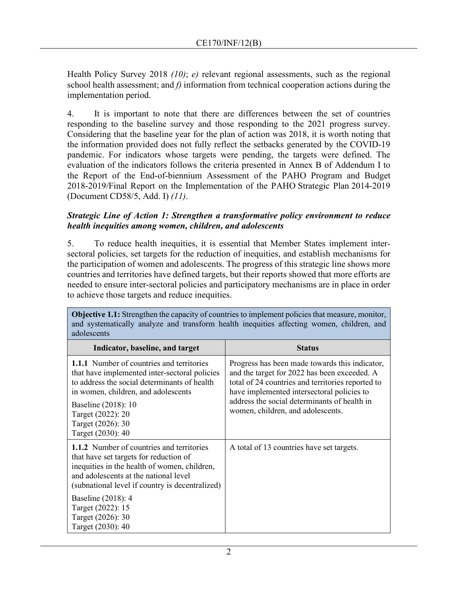Health Policy Survey 2018 *(10)*; *e)* relevant regional assessments, such as the regional school health assessment; and *f)* information from technical cooperation actions during the implementation period.

4. It is important to note that there are differences between the set of countries responding to the baseline survey and those responding to the 2021 progress survey. Considering that the baseline year for the plan of action was 2018, it is worth noting that the information provided does not fully reflect the setbacks generated by the COVID-19 pandemic. For indicators whose targets were pending, the targets were defined. The evaluation of the indicators follows the criteria presented in Annex B of Addendum I to the Report of the End-of-biennium Assessment of the PAHO Program and Budget 2018-2019/Final Report on the Implementation of the PAHO Strategic Plan 2014-2019 (Document CD58/5, Add. I) *(11)*.

#### *Strategic Line of Action 1: Strengthen a transformative policy environment to reduce health inequities among women, children, and adolescents*

5. To reduce health inequities, it is essential that Member States implement intersectoral policies, set targets for the reduction of inequities, and establish mechanisms for the participation of women and adolescents. The progress of this strategic line shows more countries and territories have defined targets, but their reports showed that more efforts are needed to ensure inter-sectoral policies and participatory mechanisms are in place in order to achieve those targets and reduce inequities.

| adolescents                                                                                                                                                                                                                                                                    |                                                                                                                                                                                                                                                                                        |
|--------------------------------------------------------------------------------------------------------------------------------------------------------------------------------------------------------------------------------------------------------------------------------|----------------------------------------------------------------------------------------------------------------------------------------------------------------------------------------------------------------------------------------------------------------------------------------|
| Indicator, baseline, and target                                                                                                                                                                                                                                                | <b>Status</b>                                                                                                                                                                                                                                                                          |
| <b>1.1.1</b> Number of countries and territories<br>that have implemented inter-sectoral policies<br>to address the social determinants of health<br>in women, children, and adolescents<br>Baseline (2018): 10<br>Target (2022): 20<br>Target (2026): 30<br>Target (2030): 40 | Progress has been made towards this indicator,<br>and the target for 2022 has been exceeded. A<br>total of 24 countries and territories reported to<br>have implemented intersectoral policies to<br>address the social determinants of health in<br>women, children, and adolescents. |
| 1.1.2 Number of countries and territories<br>that have set targets for reduction of<br>inequities in the health of women, children,<br>and adolescents at the national level<br>(subnational level if country is decentralized)                                                | A total of 13 countries have set targets.                                                                                                                                                                                                                                              |
| Baseline (2018): 4<br>Target (2022): 15<br>Target (2026): 30<br>Target (2030): 40                                                                                                                                                                                              |                                                                                                                                                                                                                                                                                        |

**Objective 1.1:** Strengthen the capacity of countries to implement policies that measure, monitor, and systematically analyze and transform health inequities affecting women, children, and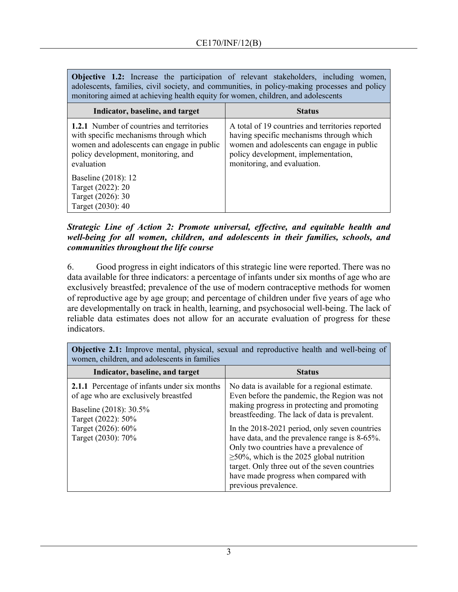**Objective 1.2:** Increase the participation of relevant stakeholders, including women, adolescents, families, civil society, and communities, in policy-making processes and policy monitoring aimed at achieving health equity for women, children, and adolescents

| Indicator, baseline, and target                                                                                                                                                               | <b>Status</b>                                                                                                                                                                                                    |
|-----------------------------------------------------------------------------------------------------------------------------------------------------------------------------------------------|------------------------------------------------------------------------------------------------------------------------------------------------------------------------------------------------------------------|
| <b>1.2.1</b> Number of countries and territories<br>with specific mechanisms through which<br>women and adolescents can engage in public<br>policy development, monitoring, and<br>evaluation | A total of 19 countries and territories reported<br>having specific mechanisms through which<br>women and adolescents can engage in public<br>policy development, implementation,<br>monitoring, and evaluation. |
| Baseline (2018): 12<br>Target (2022): 20<br>Target (2026): 30<br>Target (2030): 40                                                                                                            |                                                                                                                                                                                                                  |

#### *Strategic Line of Action 2: Promote universal, effective, and equitable health and well-being for all women, children, and adolescents in their families, schools, and communities throughout the life course*

6. Good progress in eight indicators of this strategic line were reported. There was no data available for three indicators: a percentage of infants under six months of age who are exclusively breastfed; prevalence of the use of modern contraceptive methods for women of reproductive age by age group; and percentage of children under five years of age who are developmentally on track in health, learning, and psychosocial well-being. The lack of reliable data estimates does not allow for an accurate evaluation of progress for these indicators.

| women, children, and adolescents in families                                                                                                                                            |                                                                                                                                                                                                                                                                                                                                                                                                                                                                                                                |
|-----------------------------------------------------------------------------------------------------------------------------------------------------------------------------------------|----------------------------------------------------------------------------------------------------------------------------------------------------------------------------------------------------------------------------------------------------------------------------------------------------------------------------------------------------------------------------------------------------------------------------------------------------------------------------------------------------------------|
| Indicator, baseline, and target                                                                                                                                                         | <b>Status</b>                                                                                                                                                                                                                                                                                                                                                                                                                                                                                                  |
| <b>2.1.1</b> Percentage of infants under six months<br>of age who are exclusively breastfed<br>Baseline (2018): 30.5%<br>Target (2022): 50%<br>Target (2026): 60%<br>Target (2030): 70% | No data is available for a regional estimate.<br>Even before the pandemic, the Region was not<br>making progress in protecting and promoting<br>breastfeeding. The lack of data is prevalent.<br>In the 2018-2021 period, only seven countries<br>have data, and the prevalence range is 8-65%.<br>Only two countries have a prevalence of<br>$\geq$ 50%, which is the 2025 global nutrition<br>target. Only three out of the seven countries<br>have made progress when compared with<br>previous prevalence. |

**Objective 2.1:** Improve mental, physical, sexual and reproductive health and well-being of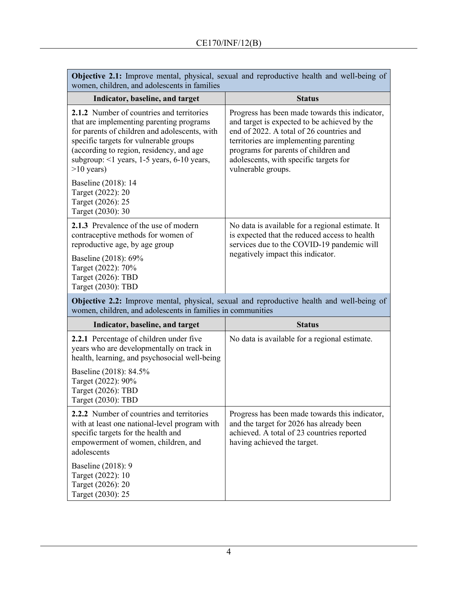| women, children, and adolescents in families                                                                                                                                                                                                                                               | Objective 2.1: Improve mental, physical, sexual and reproductive health and well-being of                                                                                                                                                                                                    |  |  |  |  |
|--------------------------------------------------------------------------------------------------------------------------------------------------------------------------------------------------------------------------------------------------------------------------------------------|----------------------------------------------------------------------------------------------------------------------------------------------------------------------------------------------------------------------------------------------------------------------------------------------|--|--|--|--|
| Indicator, baseline, and target                                                                                                                                                                                                                                                            | <b>Status</b>                                                                                                                                                                                                                                                                                |  |  |  |  |
| 2.1.2 Number of countries and territories<br>that are implementing parenting programs<br>for parents of children and adolescents, with<br>specific targets for vulnerable groups<br>(according to region, residency, and age<br>subgroup: <1 years, 1-5 years, 6-10 years,<br>$>10$ years) | Progress has been made towards this indicator,<br>and target is expected to be achieved by the<br>end of 2022. A total of 26 countries and<br>territories are implementing parenting<br>programs for parents of children and<br>adolescents, with specific targets for<br>vulnerable groups. |  |  |  |  |
| Baseline (2018): 14<br>Target (2022): 20<br>Target (2026): 25<br>Target (2030): 30                                                                                                                                                                                                         |                                                                                                                                                                                                                                                                                              |  |  |  |  |
| 2.1.3 Prevalence of the use of modern<br>contraceptive methods for women of<br>reproductive age, by age group<br>Baseline (2018): 69%                                                                                                                                                      | No data is available for a regional estimate. It<br>is expected that the reduced access to health<br>services due to the COVID-19 pandemic will<br>negatively impact this indicator.                                                                                                         |  |  |  |  |
| Target (2022): 70%<br>Target (2026): TBD<br>Target (2030): TBD                                                                                                                                                                                                                             |                                                                                                                                                                                                                                                                                              |  |  |  |  |
| women, children, and adolescents in families in communities                                                                                                                                                                                                                                | <b>Objective 2.2:</b> Improve mental, physical, sexual and reproductive health and well-being of                                                                                                                                                                                             |  |  |  |  |
| Indicator, baseline, and target                                                                                                                                                                                                                                                            | <b>Status</b>                                                                                                                                                                                                                                                                                |  |  |  |  |
| 2.2.1 Percentage of children under five<br>years who are developmentally on track in                                                                                                                                                                                                       | No data is available for a regional estimate.                                                                                                                                                                                                                                                |  |  |  |  |

health, learning, and psychosocial well-being Baseline (2018): 84.5% Target (2022): 90% Target (2026): TBD Target (2030): TBD **2.2.2** Number of countries and territories with at least one national-level program with specific targets for the health and empowerment of women, children, and adolescents Baseline (2018): 9 Target (2022): 10 Target (2026): 20 Progress has been made towards this indicator, and the target for 2026 has already been achieved. A total of 23 countries reported having achieved the target.

Target (2030): 25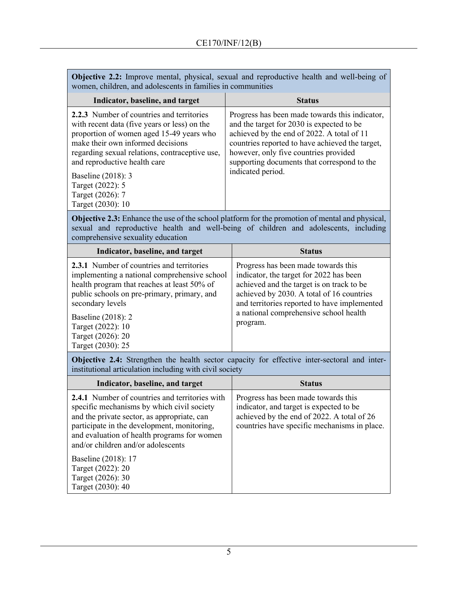Г

| women, children, and adolescents in families in communities                                                                                                                                                                                                                                      | <b>Objective 2.2:</b> Improve mental, physical, sexual and reproductive health and well-being of                                                                                                                                                                                                          |  |  |  |  |  |
|--------------------------------------------------------------------------------------------------------------------------------------------------------------------------------------------------------------------------------------------------------------------------------------------------|-----------------------------------------------------------------------------------------------------------------------------------------------------------------------------------------------------------------------------------------------------------------------------------------------------------|--|--|--|--|--|
| Indicator, baseline, and target                                                                                                                                                                                                                                                                  | <b>Status</b>                                                                                                                                                                                                                                                                                             |  |  |  |  |  |
| 2.2.3 Number of countries and territories<br>with recent data (five years or less) on the<br>proportion of women aged 15-49 years who<br>make their own informed decisions<br>regarding sexual relations, contraceptive use,<br>and reproductive health care                                     | Progress has been made towards this indicator,<br>and the target for 2030 is expected to be<br>achieved by the end of 2022. A total of 11<br>countries reported to have achieved the target,<br>however, only five countries provided<br>supporting documents that correspond to the<br>indicated period. |  |  |  |  |  |
| Baseline (2018): 3<br>Target (2022): 5<br>Target (2026): 7<br>Target (2030): 10                                                                                                                                                                                                                  |                                                                                                                                                                                                                                                                                                           |  |  |  |  |  |
| comprehensive sexuality education                                                                                                                                                                                                                                                                | <b>Objective 2.3:</b> Enhance the use of the school platform for the promotion of mental and physical,<br>sexual and reproductive health and well-being of children and adolescents, including                                                                                                            |  |  |  |  |  |
| Indicator, baseline, and target                                                                                                                                                                                                                                                                  | <b>Status</b>                                                                                                                                                                                                                                                                                             |  |  |  |  |  |
| 2.3.1 Number of countries and territories<br>implementing a national comprehensive school<br>health program that reaches at least 50% of<br>public schools on pre-primary, primary, and<br>secondary levels<br>Baseline (2018): 2<br>Target (2022): 10<br>Target (2026): 20<br>Target (2030): 25 | Progress has been made towards this<br>indicator, the target for 2022 has been<br>achieved and the target is on track to be<br>achieved by 2030. A total of 16 countries<br>and territories reported to have implemented<br>a national comprehensive school health<br>program.                            |  |  |  |  |  |
| institutional articulation including with civil society                                                                                                                                                                                                                                          | Objective 2.4: Strengthen the health sector capacity for effective inter-sectoral and inter-                                                                                                                                                                                                              |  |  |  |  |  |
| Indicator, baseline, and target                                                                                                                                                                                                                                                                  | <b>Status</b>                                                                                                                                                                                                                                                                                             |  |  |  |  |  |
| 2.4.1 Number of countries and territories with<br>specific mechanisms by which civil society<br>and the private sector, as appropriate, can<br>participate in the development, monitoring,<br>and evaluation of health programs for women<br>and/or children and/or adolescents                  | Progress has been made towards this<br>indicator, and target is expected to be<br>achieved by the end of 2022. A total of 26<br>countries have specific mechanisms in place.                                                                                                                              |  |  |  |  |  |
| Baseline (2018): 17<br>Target (2022): 20<br>Target (2026): 30<br>Target (2030): 40                                                                                                                                                                                                               |                                                                                                                                                                                                                                                                                                           |  |  |  |  |  |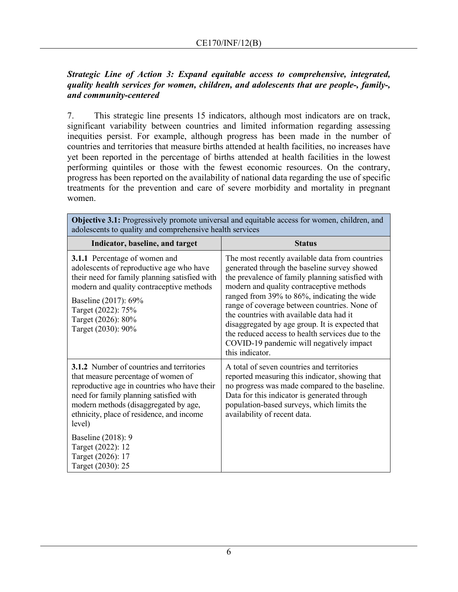### *Strategic Line of Action 3: Expand equitable access to comprehensive, integrated, quality health services for women, children, and adolescents that are people-, family-, and community-centered*

7. This strategic line presents 15 indicators, although most indicators are on track, significant variability between countries and limited information regarding assessing inequities persist. For example, although progress has been made in the number of countries and territories that measure births attended at health facilities, no increases have yet been reported in the percentage of births attended at health facilities in the lowest performing quintiles or those with the fewest economic resources. On the contrary, progress has been reported on the availability of national data regarding the use of specific treatments for the prevention and care of severe morbidity and mortality in pregnant women.

| <b>Objective 3.1:</b> Progressively promote universal and equitable access for women, children, and<br>adolescents to quality and comprehensive health services                                                                                                                                                                                                         |                                                                                                                                                                                                                                                                                                                                                                                                                                                                                                                  |  |  |  |  |  |
|-------------------------------------------------------------------------------------------------------------------------------------------------------------------------------------------------------------------------------------------------------------------------------------------------------------------------------------------------------------------------|------------------------------------------------------------------------------------------------------------------------------------------------------------------------------------------------------------------------------------------------------------------------------------------------------------------------------------------------------------------------------------------------------------------------------------------------------------------------------------------------------------------|--|--|--|--|--|
| Indicator, baseline, and target                                                                                                                                                                                                                                                                                                                                         | <b>Status</b>                                                                                                                                                                                                                                                                                                                                                                                                                                                                                                    |  |  |  |  |  |
| <b>3.1.1</b> Percentage of women and<br>adolescents of reproductive age who have<br>their need for family planning satisfied with<br>modern and quality contraceptive methods<br>Baseline (2017): 69%<br>Target (2022): 75%<br>Target (2026): 80%<br>Target (2030): 90%                                                                                                 | The most recently available data from countries<br>generated through the baseline survey showed<br>the prevalence of family planning satisfied with<br>modern and quality contraceptive methods<br>ranged from 39% to 86%, indicating the wide<br>range of coverage between countries. None of<br>the countries with available data had it<br>disaggregated by age group. It is expected that<br>the reduced access to health services due to the<br>COVID-19 pandemic will negatively impact<br>this indicator. |  |  |  |  |  |
| <b>3.1.2</b> Number of countries and territories<br>that measure percentage of women of<br>reproductive age in countries who have their<br>need for family planning satisfied with<br>modern methods (disaggregated by age,<br>ethnicity, place of residence, and income<br>level)<br>Baseline (2018): 9<br>Target (2022): 12<br>Target (2026): 17<br>Target (2030): 25 | A total of seven countries and territories<br>reported measuring this indicator, showing that<br>no progress was made compared to the baseline.<br>Data for this indicator is generated through<br>population-based surveys, which limits the<br>availability of recent data.                                                                                                                                                                                                                                    |  |  |  |  |  |

**Objective 3.1:** Progressively promote universal and equitable access for women, children, and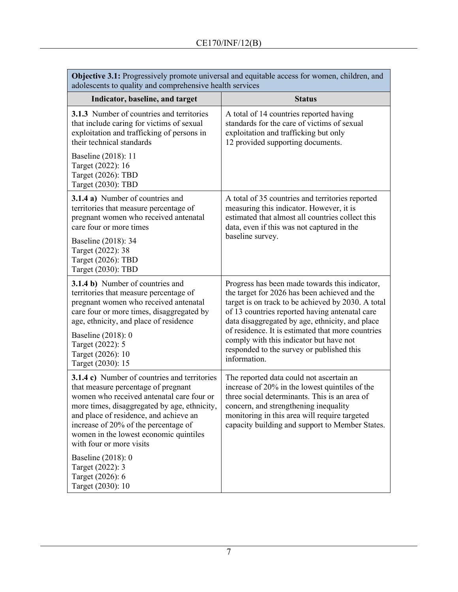| <b>Objective 3.1:</b> Progressively promote universal and equitable access for women, children, and<br>adolescents to quality and comprehensive health services                                                                                                                                                                                 |                                                                                                                                                                                                                                                                                          |  |  |  |  |  |  |
|-------------------------------------------------------------------------------------------------------------------------------------------------------------------------------------------------------------------------------------------------------------------------------------------------------------------------------------------------|------------------------------------------------------------------------------------------------------------------------------------------------------------------------------------------------------------------------------------------------------------------------------------------|--|--|--|--|--|--|
| Indicator, baseline, and target                                                                                                                                                                                                                                                                                                                 | <b>Status</b>                                                                                                                                                                                                                                                                            |  |  |  |  |  |  |
| 3.1.3 Number of countries and territories<br>that include caring for victims of sexual<br>exploitation and trafficking of persons in<br>their technical standards                                                                                                                                                                               | A total of 14 countries reported having<br>standards for the care of victims of sexual<br>exploitation and trafficking but only<br>12 provided supporting documents.                                                                                                                     |  |  |  |  |  |  |
| Baseline (2018): 11<br>Target (2022): 16<br>Target (2026): TBD<br>Target (2030): TBD                                                                                                                                                                                                                                                            |                                                                                                                                                                                                                                                                                          |  |  |  |  |  |  |
| 3.1.4 a) Number of countries and<br>territories that measure percentage of<br>pregnant women who received antenatal<br>care four or more times                                                                                                                                                                                                  | A total of 35 countries and territories reported<br>measuring this indicator. However, it is<br>estimated that almost all countries collect this<br>data, even if this was not captured in the                                                                                           |  |  |  |  |  |  |
| Baseline (2018): 34<br>Target (2022): 38<br>Target (2026): TBD<br>Target (2030): TBD                                                                                                                                                                                                                                                            | baseline survey.                                                                                                                                                                                                                                                                         |  |  |  |  |  |  |
| 3.1.4 b) Number of countries and<br>territories that measure percentage of<br>pregnant women who received antenatal<br>care four or more times, disaggregated by<br>age, ethnicity, and place of residence                                                                                                                                      | Progress has been made towards this indicator,<br>the target for 2026 has been achieved and the<br>target is on track to be achieved by 2030. A total<br>of 13 countries reported having antenatal care<br>data disaggregated by age, ethnicity, and place                               |  |  |  |  |  |  |
| Baseline (2018): 0<br>Target (2022): 5<br>Target (2026): 10<br>Target (2030): 15                                                                                                                                                                                                                                                                | of residence. It is estimated that more countries<br>comply with this indicator but have not<br>responded to the survey or published this<br>information.                                                                                                                                |  |  |  |  |  |  |
| <b>3.1.4 c)</b> Number of countries and territories<br>that measure percentage of pregnant<br>women who received antenatal care four or<br>more times, disaggregated by age, ethnicity,<br>and place of residence, and achieve an<br>increase of 20% of the percentage of<br>women in the lowest economic quintiles<br>with four or more visits | The reported data could not ascertain an<br>increase of 20% in the lowest quintiles of the<br>three social determinants. This is an area of<br>concern, and strengthening inequality<br>monitoring in this area will require targeted<br>capacity building and support to Member States. |  |  |  |  |  |  |
| Baseline (2018): 0<br>Target (2022): 3<br>Target (2026): 6<br>Target (2030): 10                                                                                                                                                                                                                                                                 |                                                                                                                                                                                                                                                                                          |  |  |  |  |  |  |

**Objective 3.1:** Progressively promote universal and equitable access for women, children, and

Г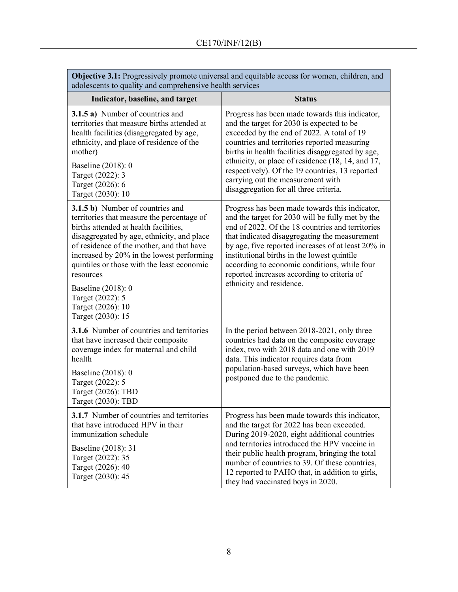| Objective 9.1. I rogressivery promote universal and equitable access for women, emidien, and<br>adolescents to quality and comprehensive health services                                                                                                                                                                                                                                                              |                                                                                                                                                                                                                                                                                                                                                                                                                                         |  |  |  |  |  |
|-----------------------------------------------------------------------------------------------------------------------------------------------------------------------------------------------------------------------------------------------------------------------------------------------------------------------------------------------------------------------------------------------------------------------|-----------------------------------------------------------------------------------------------------------------------------------------------------------------------------------------------------------------------------------------------------------------------------------------------------------------------------------------------------------------------------------------------------------------------------------------|--|--|--|--|--|
| Indicator, baseline, and target                                                                                                                                                                                                                                                                                                                                                                                       | <b>Status</b>                                                                                                                                                                                                                                                                                                                                                                                                                           |  |  |  |  |  |
| 3.1.5 a) Number of countries and<br>territories that measure births attended at<br>health facilities (disaggregated by age,<br>ethnicity, and place of residence of the<br>mother)<br>Baseline (2018): 0<br>Target (2022): 3<br>Target (2026): 6<br>Target (2030): 10                                                                                                                                                 | Progress has been made towards this indicator,<br>and the target for 2030 is expected to be<br>exceeded by the end of 2022. A total of 19<br>countries and territories reported measuring<br>births in health facilities disaggregated by age,<br>ethnicity, or place of residence (18, 14, and 17,<br>respectively). Of the 19 countries, 13 reported<br>carrying out the measurement with<br>disaggregation for all three criteria.   |  |  |  |  |  |
| <b>3.1.5 b)</b> Number of countries and<br>territories that measure the percentage of<br>births attended at health facilities.<br>disaggregated by age, ethnicity, and place<br>of residence of the mother, and that have<br>increased by 20% in the lowest performing<br>quintiles or those with the least economic<br>resources<br>Baseline (2018): 0<br>Target (2022): 5<br>Target (2026): 10<br>Target (2030): 15 | Progress has been made towards this indicator,<br>and the target for 2030 will be fully met by the<br>end of 2022. Of the 18 countries and territories<br>that indicated disaggregating the measurement<br>by age, five reported increases of at least 20% in<br>institutional births in the lowest quintile<br>according to economic conditions, while four<br>reported increases according to criteria of<br>ethnicity and residence. |  |  |  |  |  |
| <b>3.1.6</b> Number of countries and territories<br>that have increased their composite<br>coverage index for maternal and child<br>health<br>Baseline (2018): 0<br>Target (2022): 5<br>Target (2026): TBD<br>Target (2030): TBD                                                                                                                                                                                      | In the period between 2018-2021, only three<br>countries had data on the composite coverage<br>index, two with 2018 data and one with 2019<br>data. This indicator requires data from<br>population-based surveys, which have been<br>postponed due to the pandemic.                                                                                                                                                                    |  |  |  |  |  |
| <b>3.1.7</b> Number of countries and territories<br>that have introduced HPV in their<br>immunization schedule<br>Baseline (2018): 31<br>Target (2022): 35<br>Target (2026): 40<br>Target (2030): 45                                                                                                                                                                                                                  | Progress has been made towards this indicator,<br>and the target for 2022 has been exceeded.<br>During 2019-2020, eight additional countries<br>and territories introduced the HPV vaccine in<br>their public health program, bringing the total<br>number of countries to 39. Of these countries,<br>12 reported to PAHO that, in addition to girls,<br>they had vaccinated boys in 2020.                                              |  |  |  |  |  |

**Objective 3.1:** Progressively promote universal and equitable access for women, children, and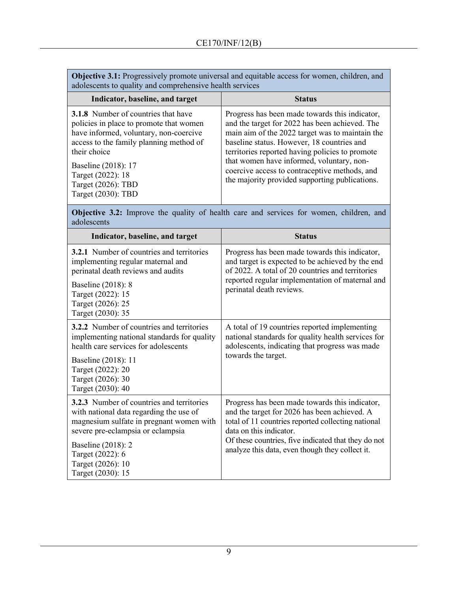| <b>Objective 3.1:</b> Progressively promote universal and equitable access for women, children, and |
|-----------------------------------------------------------------------------------------------------|
| adolescents to quality and comprehensive health services                                            |

| Indicator, baseline, and target                                                                                                                                                                                                                                                    | <b>Status</b>                                                                                                                                                                                                                                                                                                                                                                                        |
|------------------------------------------------------------------------------------------------------------------------------------------------------------------------------------------------------------------------------------------------------------------------------------|------------------------------------------------------------------------------------------------------------------------------------------------------------------------------------------------------------------------------------------------------------------------------------------------------------------------------------------------------------------------------------------------------|
| <b>3.1.8</b> Number of countries that have<br>policies in place to promote that women<br>have informed, voluntary, non-coercive<br>access to the family planning method of<br>their choice<br>Baseline (2018): 17<br>Target (2022): 18<br>Target (2026): TBD<br>Target (2030): TBD | Progress has been made towards this indicator,<br>and the target for 2022 has been achieved. The<br>main aim of the 2022 target was to maintain the<br>baseline status. However, 18 countries and<br>territories reported having policies to promote<br>that women have informed, voluntary, non-<br>coercive access to contraceptive methods, and<br>the majority provided supporting publications. |

**Objective 3.2:** Improve the quality of health care and services for women, children, and adolescents

| Indicator, baseline, and target                                                                                                                                              | <b>Status</b>                                                                                                                                                                   |  |  |  |
|------------------------------------------------------------------------------------------------------------------------------------------------------------------------------|---------------------------------------------------------------------------------------------------------------------------------------------------------------------------------|--|--|--|
| <b>3.2.1</b> Number of countries and territories<br>implementing regular maternal and<br>perinatal death reviews and audits                                                  | Progress has been made towards this indicator,<br>and target is expected to be achieved by the end<br>of 2022. A total of 20 countries and territories                          |  |  |  |
| Baseline (2018): 8<br>Target (2022): 15<br>Target (2026): 25<br>Target (2030): 35                                                                                            | reported regular implementation of maternal and<br>perinatal death reviews.                                                                                                     |  |  |  |
| 3.2.2 Number of countries and territories<br>implementing national standards for quality<br>health care services for adolescents                                             | A total of 19 countries reported implementing<br>national standards for quality health services for<br>adolescents, indicating that progress was made                           |  |  |  |
| Baseline (2018): 11<br>Target (2022): 20<br>Target (2026): 30<br>Target (2030): 40                                                                                           | towards the target.                                                                                                                                                             |  |  |  |
| <b>3.2.3</b> Number of countries and territories<br>with national data regarding the use of<br>magnesium sulfate in pregnant women with<br>severe pre-eclampsia or eclampsia | Progress has been made towards this indicator,<br>and the target for 2026 has been achieved. A<br>total of 11 countries reported collecting national<br>data on this indicator. |  |  |  |
| Baseline (2018): 2<br>Target (2022): 6<br>Target (2026): 10<br>Target (2030): 15                                                                                             | Of these countries, five indicated that they do not<br>analyze this data, even though they collect it.                                                                          |  |  |  |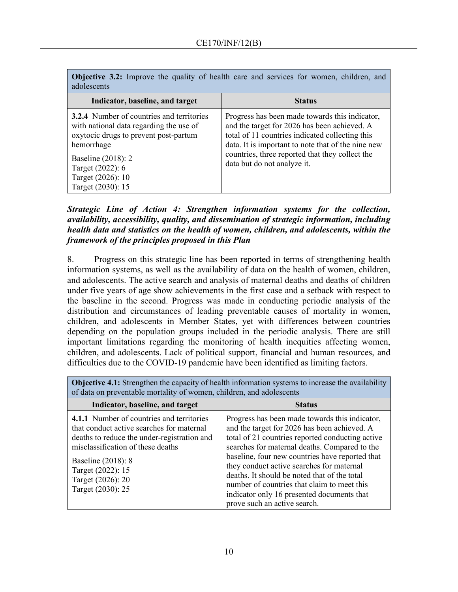| <b>Objective 3.2:</b> Improve the quality of health care and services for women, children, and<br>adolescents |  |  |  |  |  |  |
|---------------------------------------------------------------------------------------------------------------|--|--|--|--|--|--|
|                                                                                                               |  |  |  |  |  |  |

| Indicator, baseline, and target                                                                                                                                                                                                        | <b>Status</b>                                                                                                                                                                                                                                                                             |
|----------------------------------------------------------------------------------------------------------------------------------------------------------------------------------------------------------------------------------------|-------------------------------------------------------------------------------------------------------------------------------------------------------------------------------------------------------------------------------------------------------------------------------------------|
| <b>3.2.4</b> Number of countries and territories<br>with national data regarding the use of<br>oxytocic drugs to prevent post-partum<br>hemorrhage<br>Baseline (2018): 2<br>Target (2022): 6<br>Target (2026): 10<br>Target (2030): 15 | Progress has been made towards this indicator,<br>and the target for 2026 has been achieved. A<br>total of 11 countries indicated collecting this<br>data. It is important to note that of the nine new<br>countries, three reported that they collect the<br>data but do not analyze it. |

*Strategic Line of Action 4: Strengthen information systems for the collection, availability, accessibility, quality, and dissemination of strategic information, including health data and statistics on the health of women, children, and adolescents, within the framework of the principles proposed in this Plan* 

8. Progress on this strategic line has been reported in terms of strengthening health information systems, as well as the availability of data on the health of women, children, and adolescents. The active search and analysis of maternal deaths and deaths of children under five years of age show achievements in the first case and a setback with respect to the baseline in the second. Progress was made in conducting periodic analysis of the distribution and circumstances of leading preventable causes of mortality in women, children, and adolescents in Member States, yet with differences between countries depending on the population groups included in the periodic analysis. There are still important limitations regarding the monitoring of health inequities affecting women, children, and adolescents. Lack of political support, financial and human resources, and difficulties due to the COVID-19 pandemic have been identified as limiting factors.

**Objective 4.1:** Strengthen the capacity of health information systems to increase the availability of data on preventable mortality of women, children, and adolescents

| Indicator, baseline, and target                                                                                                                                                                                                                                 | <b>Status</b>                                                                                                                                                                                                                                                                                                                                                                                                                                                                    |
|-----------------------------------------------------------------------------------------------------------------------------------------------------------------------------------------------------------------------------------------------------------------|----------------------------------------------------------------------------------------------------------------------------------------------------------------------------------------------------------------------------------------------------------------------------------------------------------------------------------------------------------------------------------------------------------------------------------------------------------------------------------|
| 4.1.1 Number of countries and territories<br>that conduct active searches for maternal<br>deaths to reduce the under-registration and<br>misclassification of these deaths<br>Baseline (2018): 8<br>Target (2022): 15<br>Target (2026): 20<br>Target (2030): 25 | Progress has been made towards this indicator,<br>and the target for 2026 has been achieved. A<br>total of 21 countries reported conducting active<br>searches for maternal deaths. Compared to the<br>baseline, four new countries have reported that<br>they conduct active searches for maternal<br>deaths. It should be noted that of the total<br>number of countries that claim to meet this<br>indicator only 16 presented documents that<br>prove such an active search. |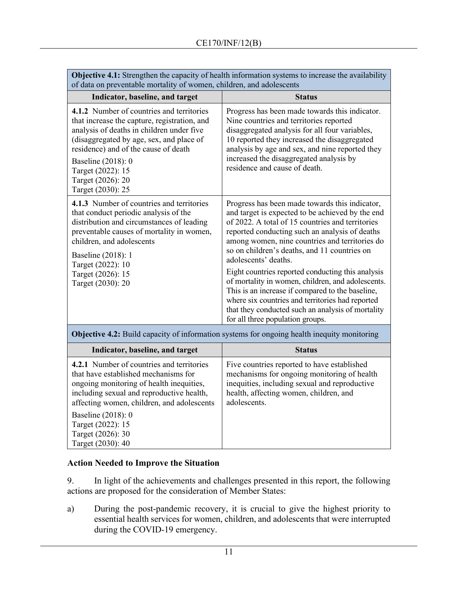| <b>Objective 4.1:</b> Strengthen the capacity of health information systems to increase the availability<br>of data on preventable mortality of women, children, and adolescents                                                                                                                                |                                                                                                                                                                                                                                                                                                                                                                                                                                                                                                                                                                                                                                               |
|-----------------------------------------------------------------------------------------------------------------------------------------------------------------------------------------------------------------------------------------------------------------------------------------------------------------|-----------------------------------------------------------------------------------------------------------------------------------------------------------------------------------------------------------------------------------------------------------------------------------------------------------------------------------------------------------------------------------------------------------------------------------------------------------------------------------------------------------------------------------------------------------------------------------------------------------------------------------------------|
| Indicator, baseline, and target                                                                                                                                                                                                                                                                                 | <b>Status</b>                                                                                                                                                                                                                                                                                                                                                                                                                                                                                                                                                                                                                                 |
| 4.1.2 Number of countries and territories<br>that increase the capture, registration, and<br>analysis of deaths in children under five<br>(disaggregated by age, sex, and place of<br>residence) and of the cause of death<br>Baseline (2018): 0<br>Target (2022): 15<br>Target (2026): 20<br>Target (2030): 25 | Progress has been made towards this indicator.<br>Nine countries and territories reported<br>disaggregated analysis for all four variables,<br>10 reported they increased the disaggregated<br>analysis by age and sex, and nine reported they<br>increased the disaggregated analysis by<br>residence and cause of death.                                                                                                                                                                                                                                                                                                                    |
| 4.1.3 Number of countries and territories<br>that conduct periodic analysis of the<br>distribution and circumstances of leading<br>preventable causes of mortality in women,<br>children, and adolescents<br>Baseline (2018): 1<br>Target (2022): 10<br>Target (2026): 15<br>Target (2030): 20                  | Progress has been made towards this indicator,<br>and target is expected to be achieved by the end<br>of 2022. A total of 15 countries and territories<br>reported conducting such an analysis of deaths<br>among women, nine countries and territories do<br>so on children's deaths, and 11 countries on<br>adolescents' deaths.<br>Eight countries reported conducting this analysis<br>of mortality in women, children, and adolescents.<br>This is an increase if compared to the baseline,<br>where six countries and territories had reported<br>that they conducted such an analysis of mortality<br>for all three population groups. |
| <b>Objective 4.2:</b> Build capacity of information systems for ongoing health inequity monitoring                                                                                                                                                                                                              |                                                                                                                                                                                                                                                                                                                                                                                                                                                                                                                                                                                                                                               |
| Indicator, baseline, and target                                                                                                                                                                                                                                                                                 | <b>Status</b>                                                                                                                                                                                                                                                                                                                                                                                                                                                                                                                                                                                                                                 |
| 4.2.1 Number of countries and territories<br>that have established mechanisms for<br>ongoing monitoring of health inequities,<br>including sexual and reproductive health,                                                                                                                                      | Five countries reported to have established<br>mechanisms for ongoing monitoring of health<br>inequities, including sexual and reproductive<br>health, affecting women, children, and                                                                                                                                                                                                                                                                                                                                                                                                                                                         |

affecting women, children, and adolescents Baseline (2018): 0 Target (2022): 15 Target (2026): 30 Target (2030): 40

# **Action Needed to Improve the Situation**

9. In light of the achievements and challenges presented in this report, the following actions are proposed for the consideration of Member States:

adolescents.

a) During the post-pandemic recovery, it is crucial to give the highest priority to essential health services for women, children, and adolescents that were interrupted during the COVID-19 emergency.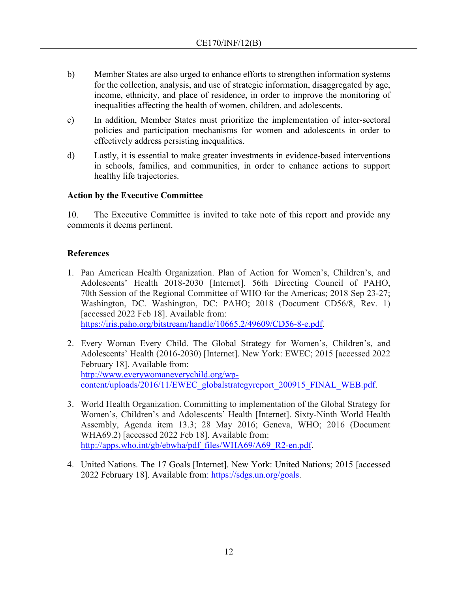- b) Member States are also urged to enhance efforts to strengthen information systems for the collection, analysis, and use of strategic information, disaggregated by age, income, ethnicity, and place of residence, in order to improve the monitoring of inequalities affecting the health of women, children, and adolescents.
- c) In addition, Member States must prioritize the implementation of inter-sectoral policies and participation mechanisms for women and adolescents in order to effectively address persisting inequalities.
- d) Lastly, it is essential to make greater investments in evidence-based interventions in schools, families, and communities, in order to enhance actions to support healthy life trajectories.

## **Action by the Executive Committee**

10. The Executive Committee is invited to take note of this report and provide any comments it deems pertinent.

# **References**

- 1. Pan American Health Organization. Plan of Action for Women's, Children's, and Adolescents' Health 2018-2030 [Internet]. 56th Directing Council of PAHO, 70th Session of the Regional Committee of WHO for the Americas; 2018 Sep 23-27; Washington, DC. Washington, DC: PAHO; 2018 (Document CD56/8, Rev. 1) [accessed 2022 Feb 18]. Available from: [https://iris.paho.org/bitstream/handle/10665.2/49609/CD56-8-e.pdf.](https://iris.paho.org/bitstream/handle/10665.2/49609/CD56-8-e.pdf)
- 2. Every Woman Every Child. The Global Strategy for Women's, Children's, and Adolescents' Health (2016-2030) [Internet]. New York: EWEC; 2015 [accessed 2022 February 18]. Available from: [http://www.everywomaneverychild.org/wp](http://www.everywomaneverychild.org/wp-content/uploads/2016/11/EWEC_globalstrategyreport_200915_FINAL_WEB.pdf)[content/uploads/2016/11/EWEC\\_globalstrategyreport\\_200915\\_FINAL\\_WEB.pdf.](http://www.everywomaneverychild.org/wp-content/uploads/2016/11/EWEC_globalstrategyreport_200915_FINAL_WEB.pdf)
- 3. World Health Organization. Committing to implementation of the Global Strategy for Women's, Children's and Adolescents' Health [Internet]. Sixty-Ninth World Health Assembly, Agenda item 13.3; 28 May 2016; Geneva, WHO; 2016 (Document WHA69.2) [accessed 2022 Feb 18]. Available from: [http://apps.who.int/gb/ebwha/pdf\\_files/WHA69/A69\\_R2-en.pdf.](http://apps.who.int/gb/ebwha/pdf_files/WHA69/A69_R2-en.pdf)
- 4. United Nations. The 17 Goals [Internet]. New York: United Nations; 2015 [accessed 2022 February 18]. Available from: [https://sdgs.un.org/goals.](https://sdgs.un.org/goals)